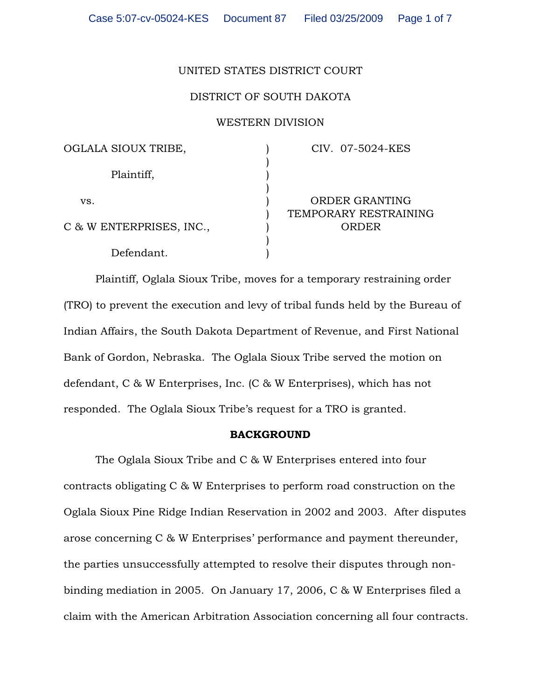## UNITED STATES DISTRICT COURT

## DISTRICT OF SOUTH DAKOTA

### WESTERN DIVISION

| OGLALA SIOUX TRIBE,      | CIV. 07-5024-KES      |
|--------------------------|-----------------------|
| Plaintiff,               |                       |
|                          |                       |
| VS.                      | ORDER GRANTING        |
|                          | TEMPORARY RESTRAINING |
| C & W ENTERPRISES, INC., | ORDER                 |
|                          |                       |
| Defendant.               |                       |

Plaintiff, Oglala Sioux Tribe, moves for a temporary restraining order (TRO) to prevent the execution and levy of tribal funds held by the Bureau of Indian Affairs, the South Dakota Department of Revenue, and First National Bank of Gordon, Nebraska. The Oglala Sioux Tribe served the motion on defendant, C & W Enterprises, Inc. (C & W Enterprises), which has not responded. The Oglala Sioux Tribe's request for a TRO is granted.

#### BACKGROUND

The Oglala Sioux Tribe and C & W Enterprises entered into four contracts obligating C & W Enterprises to perform road construction on the Oglala Sioux Pine Ridge Indian Reservation in 2002 and 2003. After disputes arose concerning C & W Enterprises' performance and payment thereunder, the parties unsuccessfully attempted to resolve their disputes through nonbinding mediation in 2005. On January 17, 2006, C & W Enterprises filed a claim with the American Arbitration Association concerning all four contracts.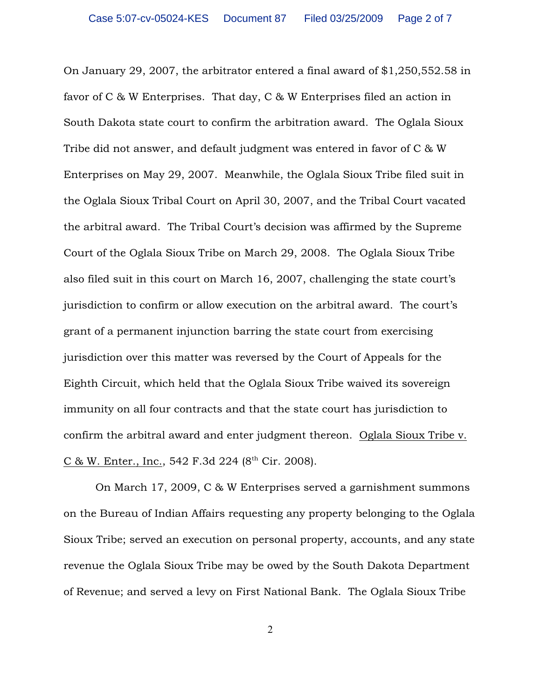On January 29, 2007, the arbitrator entered a final award of \$1,250,552.58 in favor of C & W Enterprises. That day, C & W Enterprises filed an action in South Dakota state court to confirm the arbitration award. The Oglala Sioux Tribe did not answer, and default judgment was entered in favor of C & W Enterprises on May 29, 2007. Meanwhile, the Oglala Sioux Tribe filed suit in the Oglala Sioux Tribal Court on April 30, 2007, and the Tribal Court vacated the arbitral award. The Tribal Court's decision was affirmed by the Supreme Court of the Oglala Sioux Tribe on March 29, 2008. The Oglala Sioux Tribe also filed suit in this court on March 16, 2007, challenging the state court's jurisdiction to confirm or allow execution on the arbitral award. The court's grant of a permanent injunction barring the state court from exercising jurisdiction over this matter was reversed by the Court of Appeals for the Eighth Circuit, which held that the Oglala Sioux Tribe waived its sovereign immunity on all four contracts and that the state court has jurisdiction to confirm the arbitral award and enter judgment thereon. Oglala Sioux Tribe v. C & W. Enter., Inc., 542 F.3d 224 ( $8<sup>th</sup>$  Cir. 2008).

On March 17, 2009, C & W Enterprises served a garnishment summons on the Bureau of Indian Affairs requesting any property belonging to the Oglala Sioux Tribe; served an execution on personal property, accounts, and any state revenue the Oglala Sioux Tribe may be owed by the South Dakota Department of Revenue; and served a levy on First National Bank. The Oglala Sioux Tribe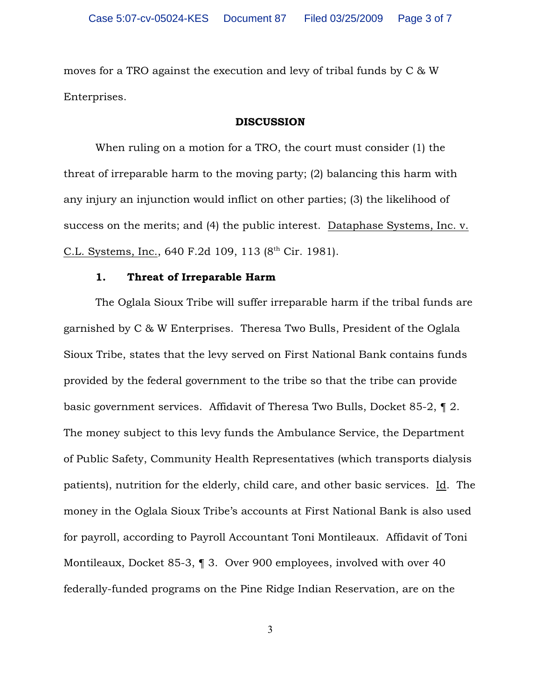moves for a TRO against the execution and levy of tribal funds by C & W Enterprises.

### DISCUSSION

When ruling on a motion for a TRO, the court must consider (1) the threat of irreparable harm to the moving party; (2) balancing this harm with any injury an injunction would inflict on other parties; (3) the likelihood of success on the merits; and (4) the public interest. Dataphase Systems, Inc. v. C.L. Systems, Inc., 640 F.2d 109, 113  $(8<sup>th</sup> Cir. 1981)$ .

### 1. Threat of Irreparable Harm

The Oglala Sioux Tribe will suffer irreparable harm if the tribal funds are garnished by C & W Enterprises. Theresa Two Bulls, President of the Oglala Sioux Tribe, states that the levy served on First National Bank contains funds provided by the federal government to the tribe so that the tribe can provide basic government services. Affidavit of Theresa Two Bulls, Docket 85-2, ¶ 2. The money subject to this levy funds the Ambulance Service, the Department of Public Safety, Community Health Representatives (which transports dialysis patients), nutrition for the elderly, child care, and other basic services. Id. The money in the Oglala Sioux Tribe's accounts at First National Bank is also used for payroll, according to Payroll Accountant Toni Montileaux. Affidavit of Toni Montileaux, Docket 85-3, ¶ 3. Over 900 employees, involved with over 40 federally-funded programs on the Pine Ridge Indian Reservation, are on the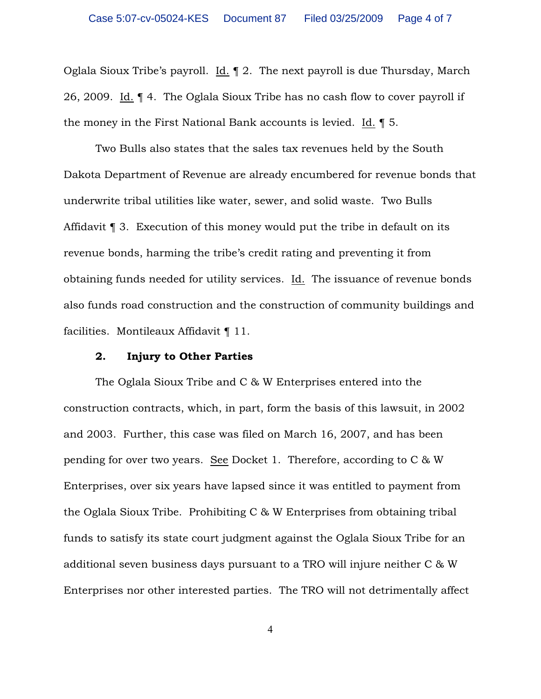Oglala Sioux Tribe's payroll. Id. ¶ 2. The next payroll is due Thursday, March 26, 2009. Id. ¶ 4. The Oglala Sioux Tribe has no cash flow to cover payroll if the money in the First National Bank accounts is levied. Id. ¶ 5.

Two Bulls also states that the sales tax revenues held by the South Dakota Department of Revenue are already encumbered for revenue bonds that underwrite tribal utilities like water, sewer, and solid waste. Two Bulls Affidavit ¶ 3. Execution of this money would put the tribe in default on its revenue bonds, harming the tribe's credit rating and preventing it from obtaining funds needed for utility services. Id. The issuance of revenue bonds also funds road construction and the construction of community buildings and facilities. Montileaux Affidavit ¶ 11.

### 2. Injury to Other Parties

The Oglala Sioux Tribe and C & W Enterprises entered into the construction contracts, which, in part, form the basis of this lawsuit, in 2002 and 2003. Further, this case was filed on March 16, 2007, and has been pending for over two years. See Docket 1. Therefore, according to C & W Enterprises, over six years have lapsed since it was entitled to payment from the Oglala Sioux Tribe. Prohibiting C & W Enterprises from obtaining tribal funds to satisfy its state court judgment against the Oglala Sioux Tribe for an additional seven business days pursuant to a TRO will injure neither C & W Enterprises nor other interested parties. The TRO will not detrimentally affect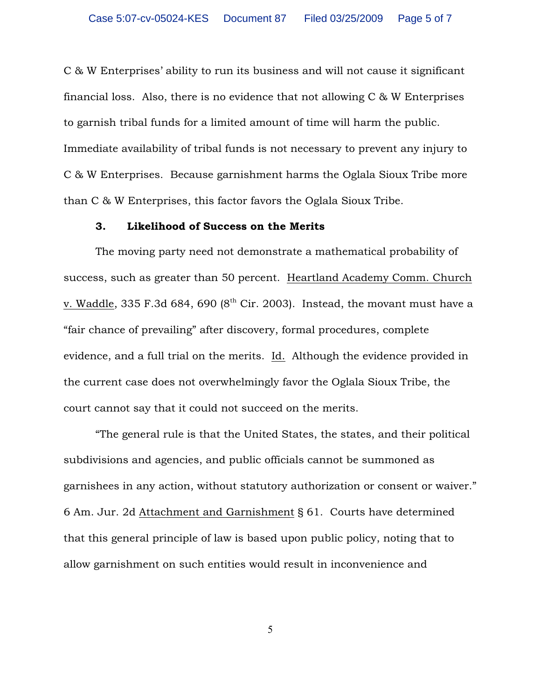C & W Enterprises' ability to run its business and will not cause it significant financial loss. Also, there is no evidence that not allowing  $C \& W$  Enterprises to garnish tribal funds for a limited amount of time will harm the public. Immediate availability of tribal funds is not necessary to prevent any injury to C & W Enterprises. Because garnishment harms the Oglala Sioux Tribe more than C & W Enterprises, this factor favors the Oglala Sioux Tribe.

#### 3. Likelihood of Success on the Merits

The moving party need not demonstrate a mathematical probability of success, such as greater than 50 percent. Heartland Academy Comm. Church v. Waddle, 335 F.3d 684, 690 ( $8<sup>th</sup>$  Cir. 2003). Instead, the movant must have a "fair chance of prevailing" after discovery, formal procedures, complete evidence, and a full trial on the merits. Id. Although the evidence provided in the current case does not overwhelmingly favor the Oglala Sioux Tribe, the court cannot say that it could not succeed on the merits.

"The general rule is that the United States, the states, and their political subdivisions and agencies, and public officials cannot be summoned as garnishees in any action, without statutory authorization or consent or waiver." 6 Am. Jur. 2d Attachment and Garnishment § 61. Courts have determined that this general principle of law is based upon public policy, noting that to allow garnishment on such entities would result in inconvenience and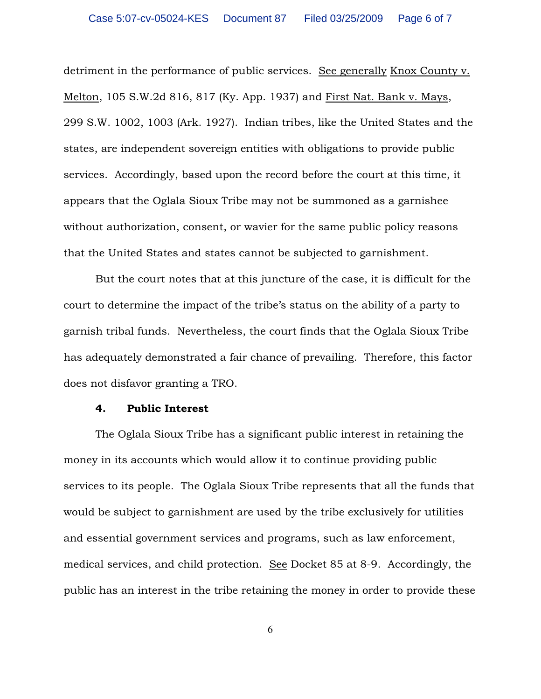detriment in the performance of public services. See generally Knox County v. Melton, 105 S.W.2d 816, 817 (Ky. App. 1937) and First Nat. Bank v. Mays, 299 S.W. 1002, 1003 (Ark. 1927). Indian tribes, like the United States and the states, are independent sovereign entities with obligations to provide public services. Accordingly, based upon the record before the court at this time, it appears that the Oglala Sioux Tribe may not be summoned as a garnishee without authorization, consent, or wavier for the same public policy reasons that the United States and states cannot be subjected to garnishment.

But the court notes that at this juncture of the case, it is difficult for the court to determine the impact of the tribe's status on the ability of a party to garnish tribal funds. Nevertheless, the court finds that the Oglala Sioux Tribe has adequately demonstrated a fair chance of prevailing. Therefore, this factor does not disfavor granting a TRO.

### 4. Public Interest

The Oglala Sioux Tribe has a significant public interest in retaining the money in its accounts which would allow it to continue providing public services to its people. The Oglala Sioux Tribe represents that all the funds that would be subject to garnishment are used by the tribe exclusively for utilities and essential government services and programs, such as law enforcement, medical services, and child protection. See Docket 85 at 8-9. Accordingly, the public has an interest in the tribe retaining the money in order to provide these